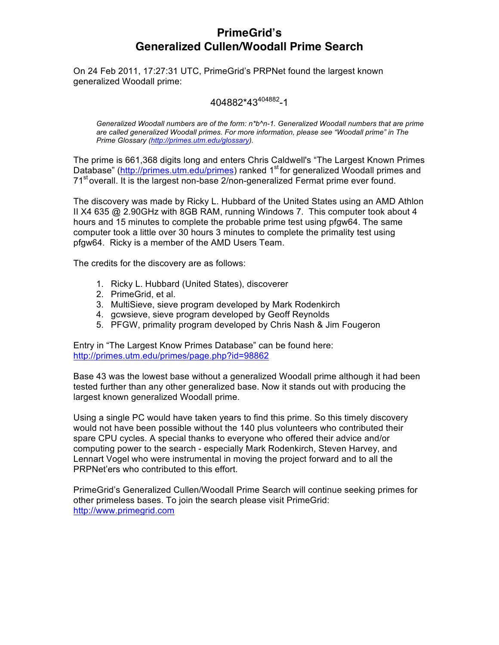# **PrimeGrid's Generalized Cullen/Woodall Prime Search**

On 24 Feb 2011, 17:27:31 UTC, PrimeGrid's PRPNet found the largest known generalized Woodall prime:

# 404882\*43404882-1

*Generalized Woodall numbers are of the form: n\*b^n-1. Generalized Woodall numbers that are prime are called generalized Woodall primes. For more information, please see "Woodall prime" in The Prime Glossary (http://primes.utm.edu/glossary).*

The prime is 661,368 digits long and enters Chris Caldwell's "The Largest Known Primes Database" (http://primes.utm.edu/primes) ranked 1<sup>st</sup> for generalized Woodall primes and 71<sup>st</sup> overall. It is the largest non-base 2/non-generalized Fermat prime ever found.

The discovery was made by Ricky L. Hubbard of the United States using an AMD Athlon II X4 635 @ 2.90GHz with 8GB RAM, running Windows 7. This computer took about 4 hours and 15 minutes to complete the probable prime test using pfgw64. The same computer took a little over 30 hours 3 minutes to complete the primality test using pfgw64. Ricky is a member of the AMD Users Team.

The credits for the discovery are as follows:

- 1. Ricky L. Hubbard (United States), discoverer
- 2. PrimeGrid, et al.
- 3. MultiSieve, sieve program developed by Mark Rodenkirch
- 4. gcwsieve, sieve program developed by Geoff Reynolds
- 5. PFGW, primality program developed by Chris Nash & Jim Fougeron

Entry in "The Largest Know Primes Database" can be found here: http://primes.utm.edu/primes/page.php?id=98862

Base 43 was the lowest base without a generalized Woodall prime although it had been tested further than any other generalized base. Now it stands out with producing the largest known generalized Woodall prime.

Using a single PC would have taken years to find this prime. So this timely discovery would not have been possible without the 140 plus volunteers who contributed their spare CPU cycles. A special thanks to everyone who offered their advice and/or computing power to the search - especially Mark Rodenkirch, Steven Harvey, and Lennart Vogel who were instrumental in moving the project forward and to all the PRPNet'ers who contributed to this effort.

PrimeGrid's Generalized Cullen/Woodall Prime Search will continue seeking primes for other primeless bases. To join the search please visit PrimeGrid: http://www.primegrid.com